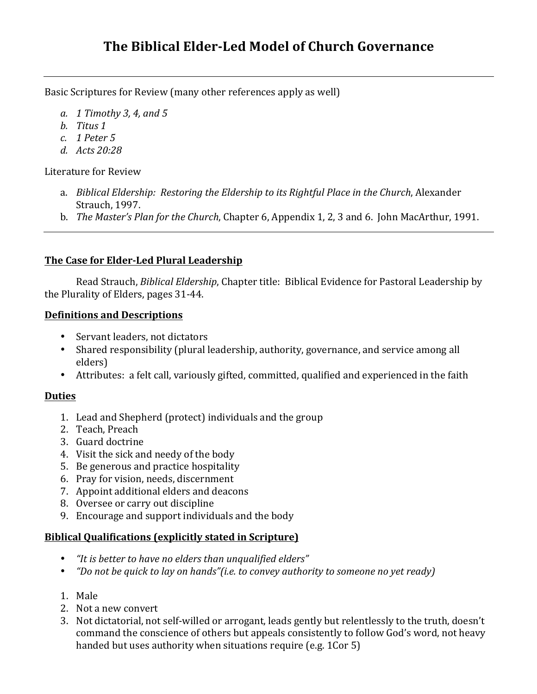# **The Biblical Elder-Led Model of Church Governance**

Basic Scriptures for Review (many other references apply as well)

- *a. 1 Timothy 3, 4, and 5*
- *b. Titus 1*
- *c. 1 Peter 5*
- *d. Acts 20:28*

Literature for Review

- a. *Biblical Eldership: Restoring the Eldership to its Rightful Place in the Church*, Alexander Strauch, 1997.
- b. *The Master's Plan for the Church*, Chapter 6, Appendix 1, 2, 3 and 6. John MacArthur, 1991.

#### **The Case for Elder-Led Plural Leadership**

Read Strauch, *Biblical Eldership*, Chapter title: Biblical Evidence for Pastoral Leadership by the Plurality of Elders, pages 31-44.

#### **Definitions and Descriptions**

- Servant leaders, not dictators
- Shared responsibility (plural leadership, authority, governance, and service among all elders)
- Attributes: a felt call, variously gifted, committed, qualified and experienced in the faith

## **Duties**

- 1. Lead and Shepherd (protect) individuals and the group
- 2. Teach, Preach
- 3. Guard doctrine
- 4. Visit the sick and needy of the body
- 5. Be generous and practice hospitality
- 6. Pray for vision, needs, discernment
- 7. Appoint additional elders and deacons
- 8. Oversee or carry out discipline
- 9. Encourage and support individuals and the body

## **Biblical Qualifications (explicitly stated in Scripture)**

- *"It is better to have no elders than unqualified elders"*
- *"Do not be quick to lay on hands"(i.e. to convey authority to someone no yet ready)*
- 1. Male
- 2. Not a new convert
- 3. Not dictatorial, not self-willed or arrogant, leads gently but relentlessly to the truth, doesn't command the conscience of others but appeals consistently to follow God's word, not heavy handed but uses authority when situations require (e.g. 1Cor 5)